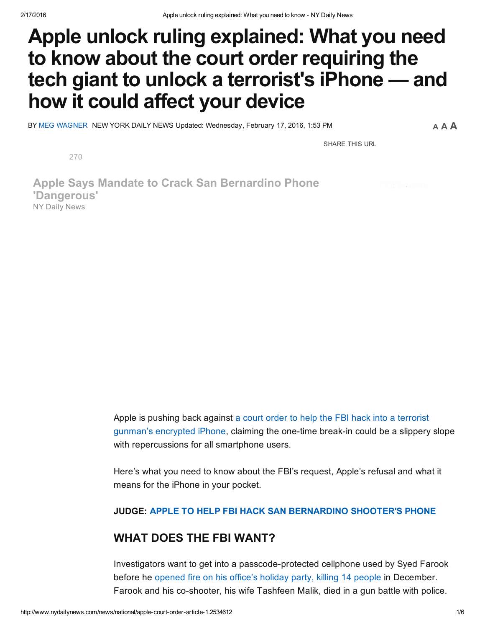# Apple unlock ruling explained: What you need to know about the court order requiring the tech giant to unlock a terrorist's iPhone — and how it could affect your device

BY MEG [WAGNER](http://www.nydailynews.com/authors?author=Meg-Wagner) NEW YORK DAILY NEWS Updated: Wednesday, February 17, 2016, 1:53 PM

A A A

SHARE THIS URL

[270](https://twitter.com/intent/tweet?text=Apple%20unlock%20ruling%20explained:%20What%20you%20need%20to%20know&url=http://nydn.us/1U7XBQx)

Apple Says Mandate to Crack San Bernardino Phone 'Dangerous' NY Daily News

> Apple is pushing back against a court order to help the FBI hack into a terrorist gunman's [encrypted](http://www.nydailynews.com/news/national/judge-apple-fbi-hack-san-bernardino-shooter-phone-article-1.2534017) iPhone, claiming the one-time break-in could be a slippery slope with repercussions for all smartphone users.

Here's what you need to know about the FBI's request, Apple's refusal and what it means for the iPhone in your pocket.

JUDGE: APPLE TO HELP FBI HACK SAN [BERNARDINO](http://www.nydailynews.com/news/national/judge-apple-fbi-hack-san-bernardino-shooter-phone-article-1.2534017) SHOOTER'S PHONE

# WHAT DOES THE FBI WANT?

Investigators want to get into a passcode-protected cellphone used by Syed Farook before he [opened](http://www.nydailynews.com/news/national/active-shooter-incident-san-bernardino-california-article-1.2453002) fire on his office's holiday party, killing 14 people in December. Farook and his co-shooter, his wife Tashfeen Malik, died in a gun battle with police.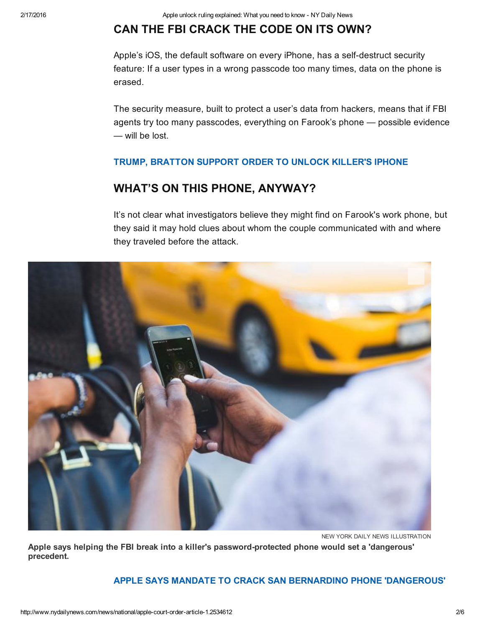# CAN THE FBI CRACK THE CODE ON ITS OWN?

Apple's iOS, the default software on every iPhone, has a self-destruct security feature: If a user types in a wrong passcode too many times, data on the phone is erased.

The security measure, built to protect a user's data from hackers, means that if FBI agents try too many passcodes, everything on Farook's phone — possible evidence — will be lost.

#### TRUMP, [BRATTON](http://www.nydailynews.com/news/national/bratton-supports-order-forcing-apple-open-killer-iphone-article-1.2534321) SUPPORT ORDER TO UNLOCK KILLER'S IPHONE

# WHAT'S ON THIS PHONE, ANYWAY?

It's not clear what investigators believe they might find on Farook's work phone, but they said it may hold clues about whom the couple communicated with and where they traveled before the attack.



NEW YORK DAILY NEWS ILLUSTRATION

Apple says helping the FBI break into a killer's password-protected phone would set a 'dangerous' precedent.

#### APPLE SAYS MANDATE TO CRACK SAN BERNARDINO PHONE ['DANGEROUS'](http://www.nydailynews.com/news/national/apple-mandate-crack-san-bernardino-phone-dangerous-article-1.2534281)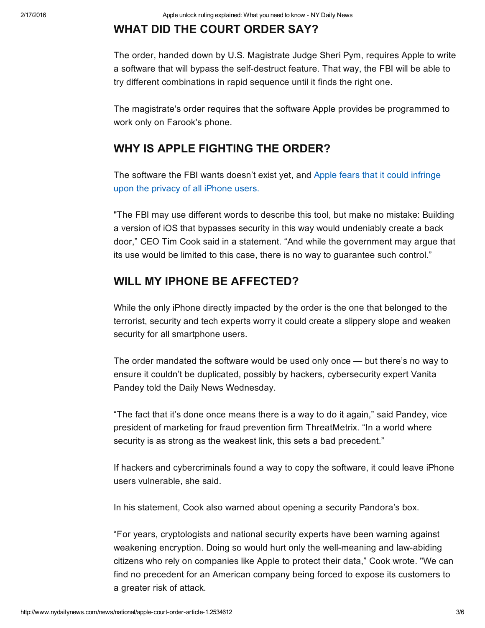# WHAT DID THE COURT ORDER SAY?

The order, handed down by U.S. Magistrate Judge Sheri Pym, requires Apple to write a software that will bypass the self-destruct feature. That way, the FBI will be able to try different combinations in rapid sequence until it finds the right one.

The magistrate's order requires that the software Apple provides be programmed to work only on Farook's phone.

# WHY IS APPLE FIGHTING THE ORDER?

The [software](http://www.nydailynews.com/news/national/apple-mandate-crack-san-bernardino-phone-dangerous-article-1.2534281) the FBI wants doesn't exist yet, and Apple fears that it could infringe upon the privacy of all iPhone users.

"The FBI may use different words to describe this tool, but make no mistake: Building a version of iOS that bypasses security in this way would undeniably create a back door," CEO Tim Cook said in a statement. "And while the government may argue that its use would be limited to this case, there is no way to guarantee such control."

#### WILL MY IPHONE BE AFFECTED?

While the only iPhone directly impacted by the order is the one that belonged to the terrorist, security and tech experts worry it could create a slippery slope and weaken security for all smartphone users.

The order mandated the software would be used only once — but there's no way to ensure it couldn't be duplicated, possibly by hackers, cybersecurity expert Vanita Pandey told the Daily News Wednesday.

"The fact that it's done once means there is a way to do it again," said Pandey, vice president of marketing for fraud prevention firm ThreatMetrix. "In a world where security is as strong as the weakest link, this sets a bad precedent."

If hackers and cybercriminals found a way to copy the software, it could leave iPhone users vulnerable, she said.

In his statement, Cook also warned about opening a security Pandora's box.

"For years, cryptologists and national security experts have been warning against weakening encryption. Doing so would hurt only the well-meaning and law-abiding citizens who rely on companies like Apple to protect their data," Cook wrote. "We can find no precedent for an American company being forced to expose its customers to a greater risk of attack.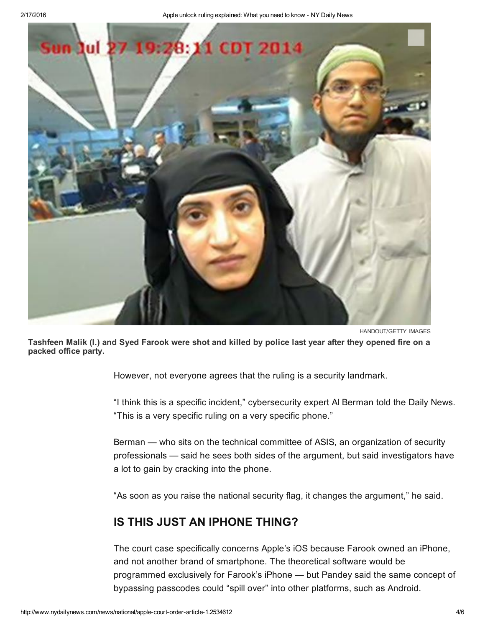

HANDOUT/GETTY IMAGES

Tashfeen Malik (l.) and Syed Farook were shot and killed by police last year after they opened fire on a packed office party.

However, not everyone agrees that the ruling is a security landmark.

"I think this is a specific incident," cybersecurity expert Al Berman told the Daily News. "This is a very specific ruling on a very specific phone."

Berman — who sits on the technical committee of ASIS, an organization of security professionals — said he sees both sides of the argument, but said investigators have a lot to gain by cracking into the phone.

"As soon as you raise the national security flag, it changes the argument," he said.

## IS THIS JUST AN IPHONE THING?

The court case specifically concerns Apple's iOS because Farook owned an iPhone, and not another brand of smartphone. The theoretical software would be programmed exclusively for Farook's iPhone — but Pandey said the same concept of bypassing passcodes could "spill over" into other platforms, such as Android.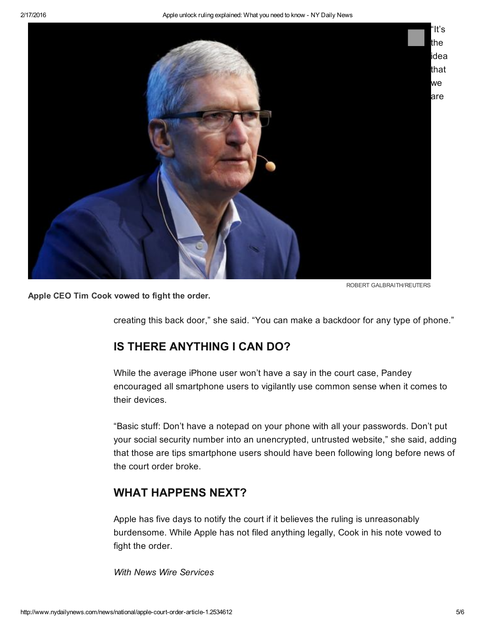

ROBERT GALBRAITH/REUTERS

Apple CEO Tim Cook vowed to fight the order.

creating this back door," she said. "You can make a backdoor for any type of phone."

## IS THERE ANYTHING I CAN DO?

While the average iPhone user won't have a say in the court case, Pandey encouraged all smartphone users to vigilantly use common sense when it comes to their devices.

"Basic stuff: Don't have a notepad on your phone with all your passwords. Don't put your social security number into an unencrypted, untrusted website," she said, adding that those are tips smartphone users should have been following long before news of the court order broke.

## WHAT HAPPENS NEXT?

Apple has five days to notify the court if it believes the ruling is unreasonably burdensome. While Apple has not filed anything legally, Cook in his note vowed to fight the order.

*With News Wire Services*